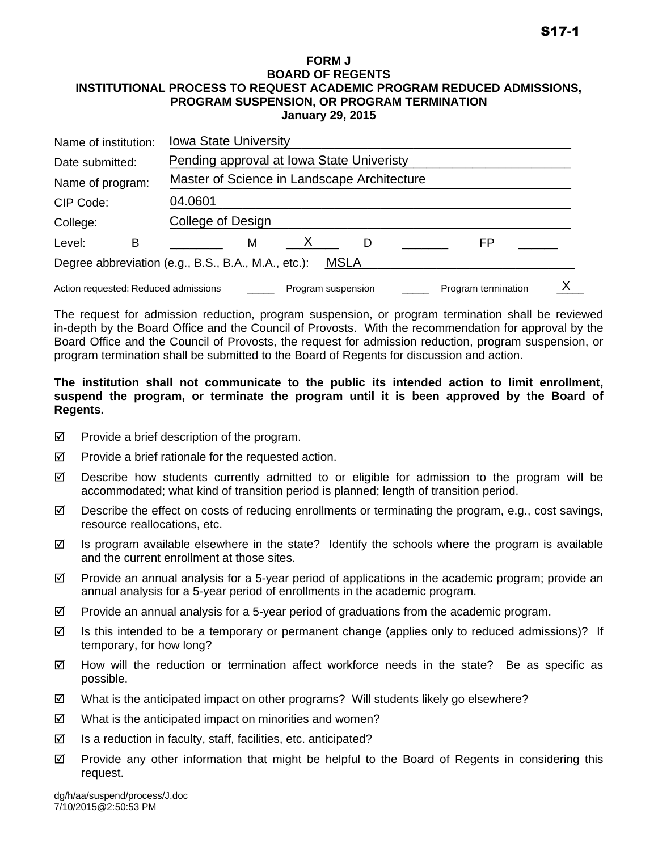#### **FORM J BOARD OF REGENTS INSTITUTIONAL PROCESS TO REQUEST ACADEMIC PROGRAM REDUCED ADMISSIONS, PROGRAM SUSPENSION, OR PROGRAM TERMINATION January 29, 2015**

| <b>Iowa State University</b><br>Name of institution:         |  |                                                             |  |  |  |  |  |
|--------------------------------------------------------------|--|-------------------------------------------------------------|--|--|--|--|--|
| Pending approval at Iowa State Univeristy<br>Date submitted: |  |                                                             |  |  |  |  |  |
| Name of program:                                             |  | Master of Science in Landscape Architecture                 |  |  |  |  |  |
| CIP Code:                                                    |  | 04.0601                                                     |  |  |  |  |  |
| College:                                                     |  | College of Design                                           |  |  |  |  |  |
| Level:<br>В                                                  |  | FP<br>м<br>D                                                |  |  |  |  |  |
|                                                              |  | Degree abbreviation (e.g., B.S., B.A., M.A., etc.):<br>MSLA |  |  |  |  |  |
| Action requested: Reduced admissions                         |  | Program termination<br>Program suspension                   |  |  |  |  |  |

The request for admission reduction, program suspension, or program termination shall be reviewed in-depth by the Board Office and the Council of Provosts. With the recommendation for approval by the Board Office and the Council of Provosts, the request for admission reduction, program suspension, or program termination shall be submitted to the Board of Regents for discussion and action.

### **The institution shall not communicate to the public its intended action to limit enrollment, suspend the program, or terminate the program until it is been approved by the Board of Regents.**

- $\boxtimes$  Provide a brief description of the program.
- $\boxtimes$  Provide a brief rationale for the requested action.
- $\boxtimes$  Describe how students currently admitted to or eligible for admission to the program will be accommodated; what kind of transition period is planned; length of transition period.
- $\boxtimes$  Describe the effect on costs of reducing enrollments or terminating the program, e.g., cost savings, resource reallocations, etc.
- $\boxtimes$  Is program available elsewhere in the state? Identify the schools where the program is available and the current enrollment at those sites.
- $\boxtimes$  Provide an annual analysis for a 5-year period of applications in the academic program; provide an annual analysis for a 5-year period of enrollments in the academic program.
- $\boxtimes$  Provide an annual analysis for a 5-year period of graduations from the academic program.
- $\boxtimes$  Is this intended to be a temporary or permanent change (applies only to reduced admissions)? If temporary, for how long?
- $\boxtimes$  How will the reduction or termination affect workforce needs in the state? Be as specific as possible.
- $\boxtimes$  What is the anticipated impact on other programs? Will students likely go elsewhere?
- $\boxtimes$  What is the anticipated impact on minorities and women?
- $\boxtimes$  Is a reduction in faculty, staff, facilities, etc. anticipated?
- $\boxtimes$  Provide any other information that might be helpful to the Board of Regents in considering this request.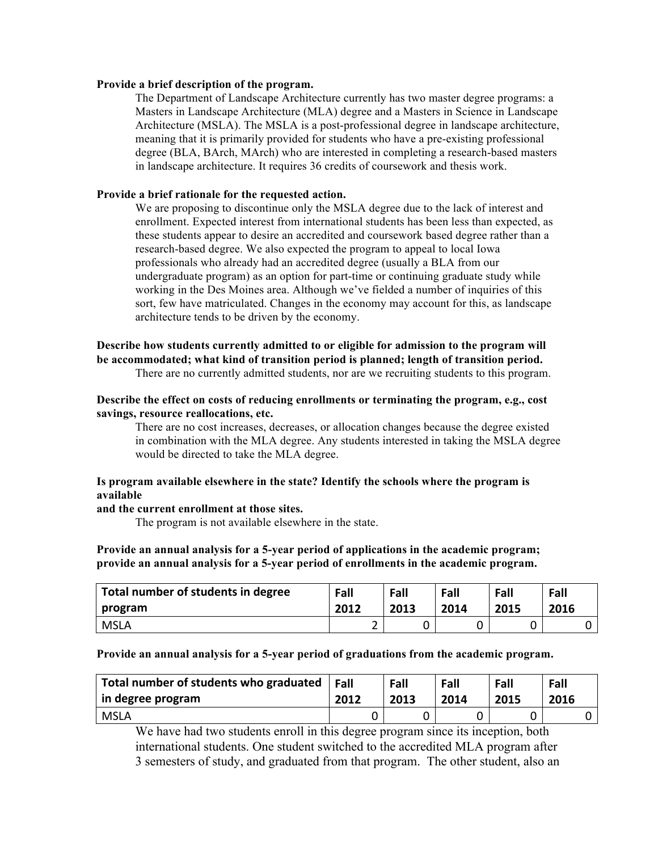#### **Provide a brief description of the program.**

The Department of Landscape Architecture currently has two master degree programs: a Masters in Landscape Architecture (MLA) degree and a Masters in Science in Landscape Architecture (MSLA). The MSLA is a post-professional degree in landscape architecture, meaning that it is primarily provided for students who have a pre-existing professional degree (BLA, BArch, MArch) who are interested in completing a research-based masters in landscape architecture. It requires 36 credits of coursework and thesis work.

#### **Provide a brief rationale for the requested action.**

We are proposing to discontinue only the MSLA degree due to the lack of interest and enrollment. Expected interest from international students has been less than expected, as these students appear to desire an accredited and coursework based degree rather than a research-based degree. We also expected the program to appeal to local Iowa professionals who already had an accredited degree (usually a BLA from our undergraduate program) as an option for part-time or continuing graduate study while working in the Des Moines area. Although we've fielded a number of inquiries of this sort, few have matriculated. Changes in the economy may account for this, as landscape architecture tends to be driven by the economy.

# **Describe how students currently admitted to or eligible for admission to the program will be accommodated; what kind of transition period is planned; length of transition period.**

There are no currently admitted students, nor are we recruiting students to this program.

#### **Describe the effect on costs of reducing enrollments or terminating the program, e.g., cost savings, resource reallocations, etc.**

There are no cost increases, decreases, or allocation changes because the degree existed in combination with the MLA degree. Any students interested in taking the MSLA degree would be directed to take the MLA degree.

#### **Is program available elsewhere in the state? Identify the schools where the program is available**

#### **and the current enrollment at those sites.**

The program is not available elsewhere in the state.

#### **Provide an annual analysis for a 5-year period of applications in the academic program; provide an annual analysis for a 5-year period of enrollments in the academic program.**

| Total number of students in degree | Fall | Fall | Fall | Fall | Fall |
|------------------------------------|------|------|------|------|------|
| program                            | 2012 | 2013 | 2014 | 2015 | 2016 |
| <b>MSLA</b>                        | -    |      |      |      |      |

#### **Provide an annual analysis for a 5-year period of graduations from the academic program.**

| Total number of students who graduated | Fall | Fall | Fall | Fall | Fall |
|----------------------------------------|------|------|------|------|------|
| in degree program                      | 2012 | 2013 | 2014 | 2015 | 2016 |
| <b>MSLA</b>                            |      |      |      |      |      |

We have had two students enroll in this degree program since its inception, both international students. One student switched to the accredited MLA program after 3 semesters of study, and graduated from that program. The other student, also an